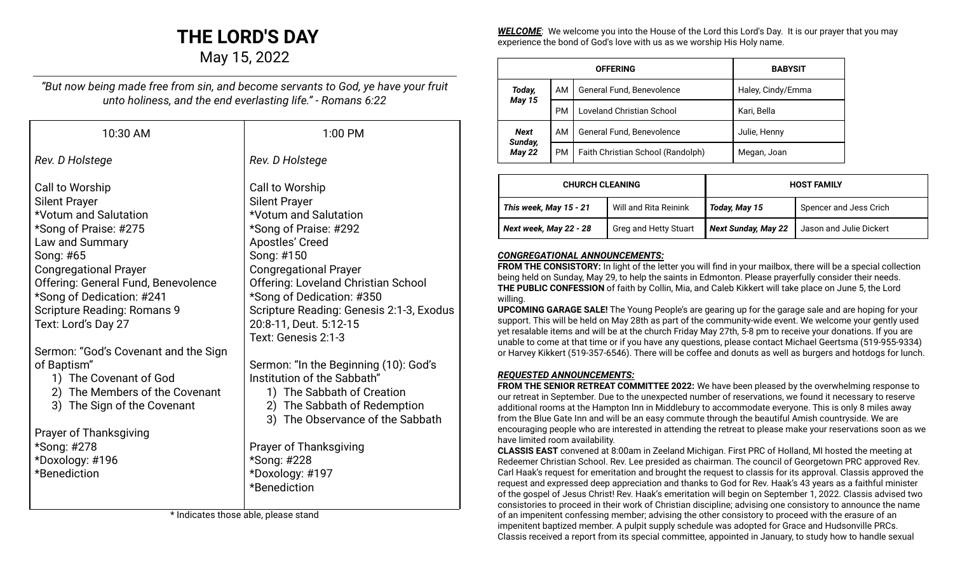# **THE LORD'S DAY**

May 15, 2022

*"But now being made free from sin, and become servants to God, ye have your fruit unto holiness, and the end everlasting life." - Romans 6:22*

| 10:30 AM                                                                                                                                                                                                                                                                                   | 1:00 PM                                                                                                                                                                                                                                                                                                                            |
|--------------------------------------------------------------------------------------------------------------------------------------------------------------------------------------------------------------------------------------------------------------------------------------------|------------------------------------------------------------------------------------------------------------------------------------------------------------------------------------------------------------------------------------------------------------------------------------------------------------------------------------|
| Rev. D Holstege                                                                                                                                                                                                                                                                            | Rev. D Holstege                                                                                                                                                                                                                                                                                                                    |
| Call to Worship<br><b>Silent Prayer</b><br>*Votum and Salutation<br>*Song of Praise: #275<br>Law and Summary<br>Song: #65<br><b>Congregational Prayer</b><br>Offering: General Fund, Benevolence<br>*Song of Dedication: #241<br><b>Scripture Reading: Romans 9</b><br>Text: Lord's Day 27 | Call to Worship<br><b>Silent Prayer</b><br>*Votum and Salutation<br>*Song of Praise: #292<br><b>Apostles' Creed</b><br>Song: #150<br><b>Congregational Prayer</b><br>Offering: Loveland Christian School<br>*Song of Dedication: #350<br>Scripture Reading: Genesis 2:1-3, Exodus<br>20:8-11, Deut. 5:12-15<br>Text: Genesis 2:1-3 |
| Sermon: "God's Covenant and the Sign<br>of Baptism"<br>1) The Covenant of God<br>2) The Members of the Covenant<br>3) The Sign of the Covenant<br><b>Prayer of Thanksgiving</b><br>*Song: #278<br>*Doxology: #196<br>*Benediction                                                          | Sermon: "In the Beginning (10): God's<br>Institution of the Sabbath"<br>1) The Sabbath of Creation<br>2) The Sabbath of Redemption<br>3) The Observance of the Sabbath<br>Prayer of Thanksgiving<br>*Song: #228<br>*Doxology: #197<br>*Benediction                                                                                 |

\* Indicates those able, please stand

*WELCOME*: We welcome you into the House of the Lord this Lord's Day. It is our prayer that you may experience the bond of God's love with us as we worship His Holy name.

| <b>OFFERING</b>                         |           |                                   | <b>BABYSIT</b>    |
|-----------------------------------------|-----------|-----------------------------------|-------------------|
| Today,                                  | AM        | General Fund, Benevolence         | Haley, Cindy/Emma |
| <b>May 15</b>                           | <b>PM</b> | Loveland Christian School         | Kari, Bella       |
| <b>Next</b><br>Sunday,<br><b>May 22</b> | AM        | General Fund, Benevolence         | Julie, Henny      |
|                                         | <b>PM</b> | Faith Christian School (Randolph) | Megan, Joan       |

| <b>CHURCH CLEANING</b> |                       | <b>HOST FAMILY</b>         |                         |
|------------------------|-----------------------|----------------------------|-------------------------|
| This week, May 15 - 21 | Will and Rita Reinink | Today, May 15              | Spencer and Jess Crich  |
| Next week, May 22 - 28 | Greg and Hetty Stuart | <b>Next Sunday, May 22</b> | Jason and Julie Dickert |

# *CONGREGATIONAL ANNOUNCEMENTS:*

**FROM THE CONSISTORY:** In light of the letter you will find in your mailbox, there will be a special collection being held on Sunday, May 29, to help the saints in Edmonton. Please prayerfully consider their needs. **THE PUBLIC CONFESSION** of faith by Collin, Mia, and Caleb Kikkert will take place on June 5, the Lord willing.

**UPCOMING GARAGE SALE!** The Young People's are gearing up for the garage sale and are hoping for your support. This will be held on May 28th as part of the community-wide event. We welcome your gently used yet resalable items and will be at the church Friday May 27th, 5-8 pm to receive your donations. If you are unable to come at that time or if you have any questions, please contact Michael Geertsma (519-955-9334) or Harvey Kikkert (519-357-6546). There will be coffee and donuts as well as burgers and hotdogs for lunch.

#### *REQUESTED ANNOUNCEMENTS:*

**FROM THE SENIOR RETREAT COMMITTEE 2022:** We have been pleased by the overwhelming response to our retreat in September. Due to the unexpected number of reservations, we found it necessary to reserve additional rooms at the Hampton Inn in Middlebury to accommodate everyone. This is only 8 miles away from the Blue Gate Inn and will be an easy commute through the beautiful Amish countryside. We are encouraging people who are interested in attending the retreat to please make your reservations soon as we have limited room availability.

**CLASSIS EAST** convened at 8:00am in Zeeland Michigan. First PRC of Holland, MI hosted the meeting at Redeemer Christian School. Rev. Lee presided as chairman. The council of Georgetown PRC approved Rev. Carl Haak's request for emeritation and brought the request to classis for its approval. Classis approved the request and expressed deep appreciation and thanks to God for Rev. Haak's 43 years as a faithful minister of the gospel of Jesus Christ! Rev. Haak's emeritation will begin on September 1, 2022. Classis advised two consistories to proceed in their work of Christian discipline; advising one consistory to announce the name of an impenitent confessing member; advising the other consistory to proceed with the erasure of an impenitent baptized member. A pulpit supply schedule was adopted for Grace and Hudsonville PRCs. Classis received a report from its special committee, appointed in January, to study how to handle sexual